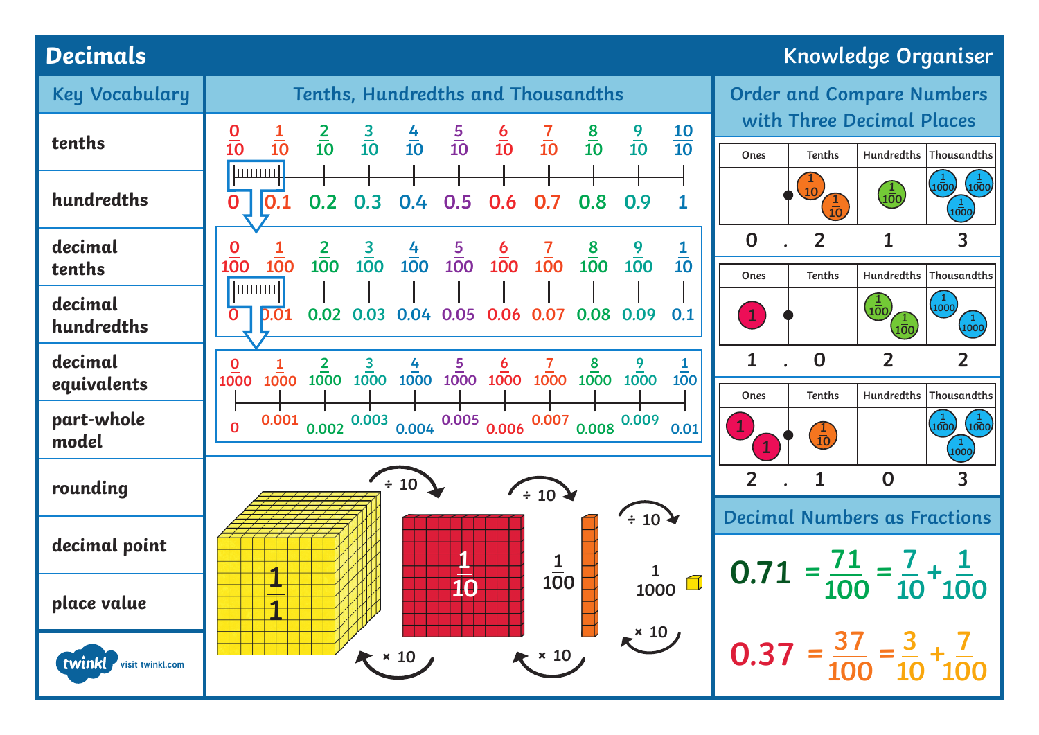## **Decimals Knowledge Organiser**